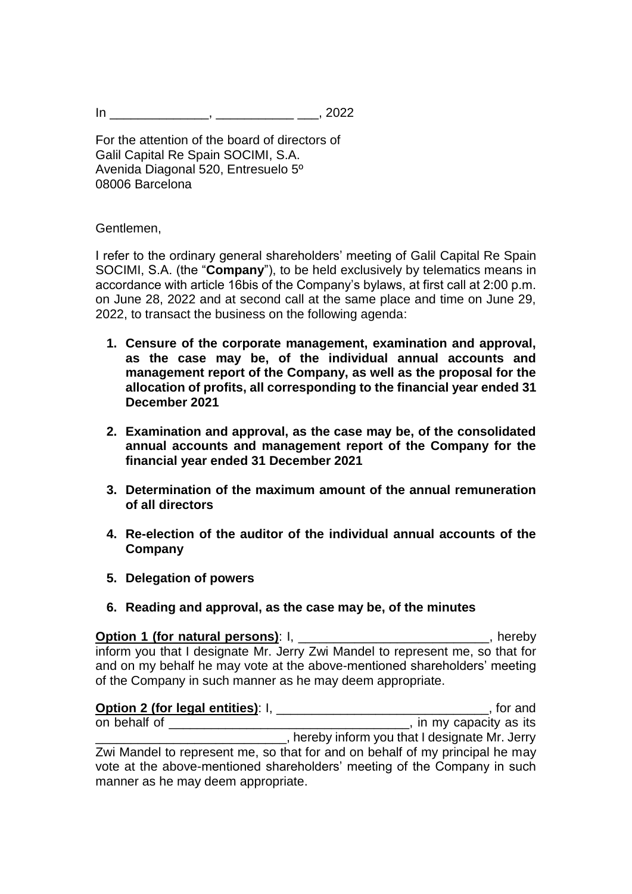$\ln$  ,  $\frac{1}{2022}$ 

For the attention of the board of directors of Galil Capital Re Spain SOCIMI, S.A. Avenida Diagonal 520, Entresuelo 5º 08006 Barcelona

Gentlemen,

I refer to the ordinary general shareholders' meeting of Galil Capital Re Spain SOCIMI, S.A. (the "**Company**"), to be held exclusively by telematics means in accordance with article 16bis of the Company's bylaws, at first call at 2:00 p.m. on June 28, 2022 and at second call at the same place and time on June 29, 2022, to transact the business on the following agenda:

- **1. Censure of the corporate management, examination and approval, as the case may be, of the individual annual accounts and management report of the Company, as well as the proposal for the allocation of profits, all corresponding to the financial year ended 31 December 2021**
- **2. Examination and approval, as the case may be, of the consolidated annual accounts and management report of the Company for the financial year ended 31 December 2021**
- **3. Determination of the maximum amount of the annual remuneration of all directors**
- **4. Re-election of the auditor of the individual annual accounts of the Company**
- **5. Delegation of powers**
- **6. Reading and approval, as the case may be, of the minutes**

**Option 1 (for natural persons)**: I, \_\_\_\_\_\_\_\_\_\_\_\_\_\_\_\_\_\_\_\_\_\_\_\_\_\_\_, hereby inform you that I designate Mr. Jerry Zwi Mandel to represent me, so that for and on my behalf he may vote at the above-mentioned shareholders' meeting of the Company in such manner as he may deem appropriate.

**Option 2 (for legal entities):** I, \_\_\_\_\_\_\_\_\_\_\_\_\_\_\_\_\_\_\_\_\_\_\_\_\_\_\_\_\_\_\_\_\_\_, for and on behalf of \_\_\_\_\_\_\_\_\_\_\_\_\_\_\_\_\_\_\_\_\_\_\_\_\_\_\_\_\_\_\_\_\_\_, in my capacity as its \_\_\_\_\_\_\_\_\_\_\_\_\_\_\_\_\_\_\_\_\_\_\_\_\_\_\_, hereby inform you that I designate Mr. Jerry Zwi Mandel to represent me, so that for and on behalf of my principal he may vote at the above-mentioned shareholders' meeting of the Company in such manner as he may deem appropriate.